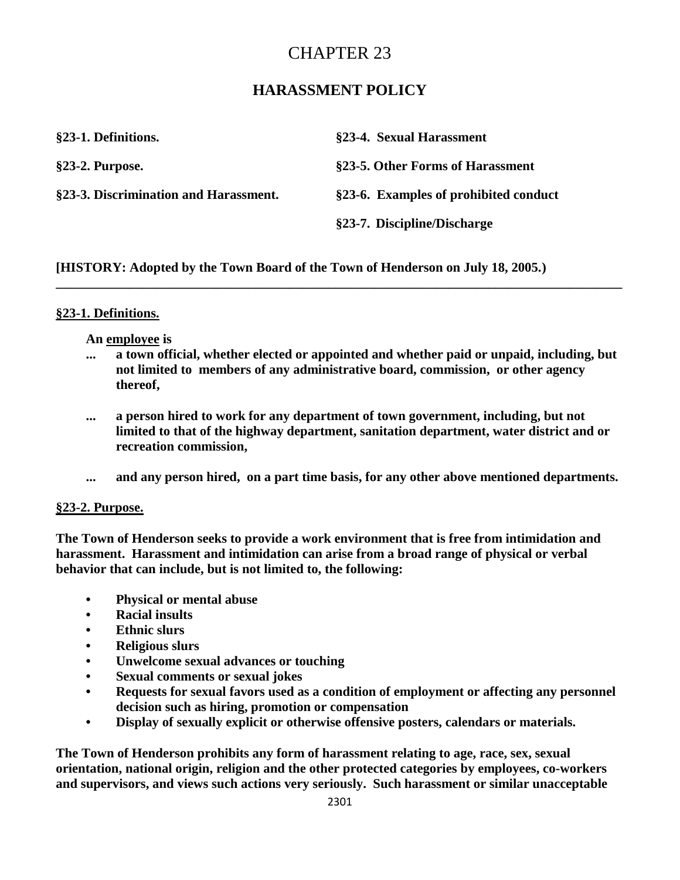# CHAPTER 23

## **HARASSMENT POLICY**

| §23-1. Definitions.                   | §23-4. Sexual Harassment              |
|---------------------------------------|---------------------------------------|
| $§23-2.$ Purpose.                     | §23-5. Other Forms of Harassment      |
| §23-3. Discrimination and Harassment. | §23-6. Examples of prohibited conduct |
|                                       | §23-7. Discipline/Discharge           |

**[HISTORY: Adopted by the Town Board of the Town of Henderson on July 18, 2005.)** 

## **§23-1. Definitions.**

### **An employee is**

**... a town official, whether elected or appointed and whether paid or unpaid, including, but not limited to members of any administrative board, commission, or other agency thereof,**

**\_\_\_\_\_\_\_\_\_\_\_\_\_\_\_\_\_\_\_\_\_\_\_\_\_\_\_\_\_\_\_\_\_\_\_\_\_\_\_\_\_\_\_\_\_\_\_\_\_\_\_\_\_\_\_\_\_\_\_\_\_\_\_\_\_\_\_\_\_\_\_\_\_\_\_\_\_\_\_\_\_\_\_\_\_**

- **... a person hired to work for any department of town government, including, but not limited to that of the highway department, sanitation department, water district and or recreation commission,**
- **... and any person hired, on a part time basis, for any other above mentioned departments.**

### **§23-2. Purpose.**

**The Town of Henderson seeks to provide a work environment that is free from intimidation and harassment. Harassment and intimidation can arise from a broad range of physical or verbal behavior that can include, but is not limited to, the following:**

- **Physical or mental abuse**
- **Racial insults**
- **Ethnic slurs**
- **Religious slurs**
- **Unwelcome sexual advances or touching**
- **Sexual comments or sexual jokes**
- **Requests for sexual favors used as a condition of employment or affecting any personnel decision such as hiring, promotion or compensation**
- **Display of sexually explicit or otherwise offensive posters, calendars or materials.**

**The Town of Henderson prohibits any form of harassment relating to age, race, sex, sexual orientation, national origin, religion and the other protected categories by employees, co-workers and supervisors, and views such actions very seriously. Such harassment or similar unacceptable**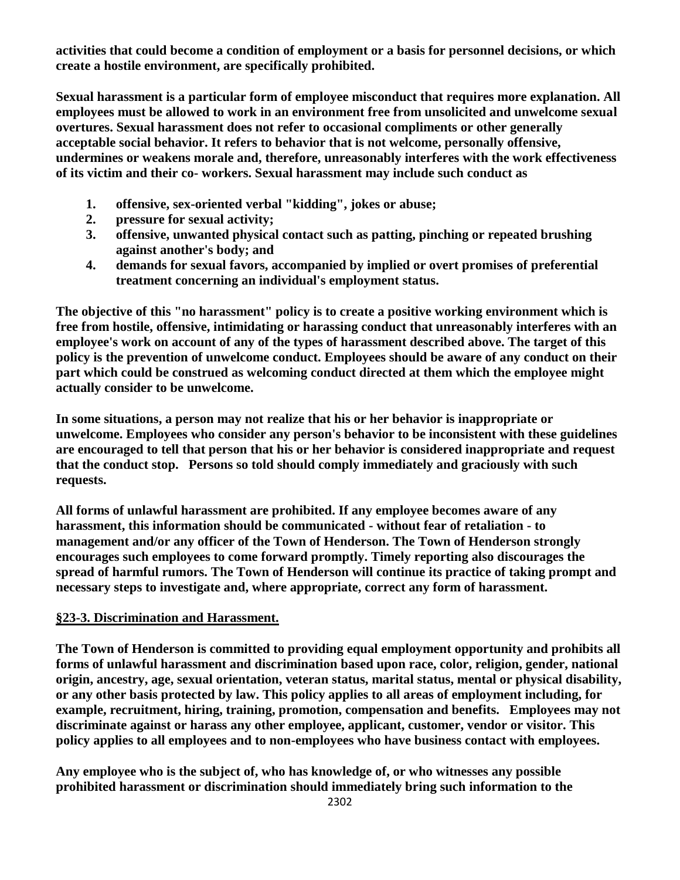**activities that could become a condition of employment or a basis for personnel decisions, or which create a hostile environment, are specifically prohibited.**

**Sexual harassment is a particular form of employee misconduct that requires more explanation. All employees must be allowed to work in an environment free from unsolicited and unwelcome sexual overtures. Sexual harassment does not refer to occasional compliments or other generally acceptable social behavior. It refers to behavior that is not welcome, personally offensive, undermines or weakens morale and, therefore, unreasonably interferes with the work effectiveness of its victim and their co- workers. Sexual harassment may include such conduct as**

- **1. offensive, sex-oriented verbal "kidding", jokes or abuse;**
- **2. pressure for sexual activity;**
- **3. offensive, unwanted physical contact such as patting, pinching or repeated brushing against another's body; and**
- **4. demands for sexual favors, accompanied by implied or overt promises of preferential treatment concerning an individual's employment status.**

**The objective of this "no harassment" policy is to create a positive working environment which is free from hostile, offensive, intimidating or harassing conduct that unreasonably interferes with an employee's work on account of any of the types of harassment described above. The target of this policy is the prevention of unwelcome conduct. Employees should be aware of any conduct on their part which could be construed as welcoming conduct directed at them which the employee might actually consider to be unwelcome.**

**In some situations, a person may not realize that his or her behavior is inappropriate or unwelcome. Employees who consider any person's behavior to be inconsistent with these guidelines are encouraged to tell that person that his or her behavior is considered inappropriate and request that the conduct stop. Persons so told should comply immediately and graciously with such requests.**

**All forms of unlawful harassment are prohibited. If any employee becomes aware of any harassment, this information should be communicated - without fear of retaliation - to management and/or any officer of the Town of Henderson. The Town of Henderson strongly encourages such employees to come forward promptly. Timely reporting also discourages the spread of harmful rumors. The Town of Henderson will continue its practice of taking prompt and necessary steps to investigate and, where appropriate, correct any form of harassment.**

### **§23-3. Discrimination and Harassment.**

**The Town of Henderson is committed to providing equal employment opportunity and prohibits all forms of unlawful harassment and discrimination based upon race, color, religion, gender, national origin, ancestry, age, sexual orientation, veteran status, marital status, mental or physical disability, or any other basis protected by law. This policy applies to all areas of employment including, for example, recruitment, hiring, training, promotion, compensation and benefits. Employees may not discriminate against or harass any other employee, applicant, customer, vendor or visitor. This policy applies to all employees and to non-employees who have business contact with employees.**

**Any employee who is the subject of, who has knowledge of, or who witnesses any possible prohibited harassment or discrimination should immediately bring such information to the**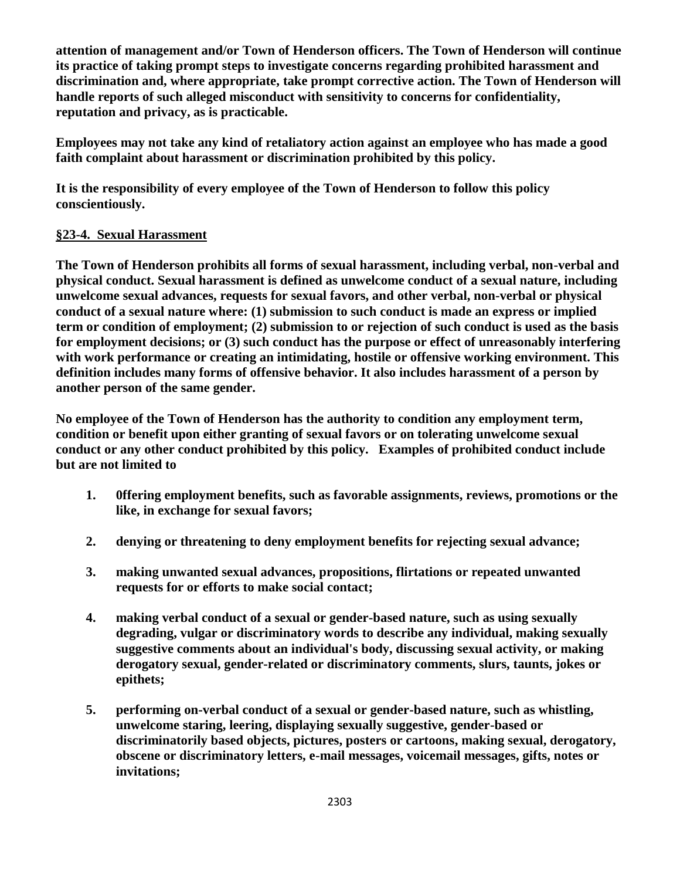**attention of management and/or Town of Henderson officers. The Town of Henderson will continue its practice of taking prompt steps to investigate concerns regarding prohibited harassment and discrimination and, where appropriate, take prompt corrective action. The Town of Henderson will handle reports of such alleged misconduct with sensitivity to concerns for confidentiality, reputation and privacy, as is practicable.**

**Employees may not take any kind of retaliatory action against an employee who has made a good faith complaint about harassment or discrimination prohibited by this policy.**

**It is the responsibility of every employee of the Town of Henderson to follow this policy conscientiously.**

## **§23-4. Sexual Harassment**

**The Town of Henderson prohibits all forms of sexual harassment, including verbal, non-verbal and physical conduct. Sexual harassment is defined as unwelcome conduct of a sexual nature, including unwelcome sexual advances, requests for sexual favors, and other verbal, non-verbal or physical conduct of a sexual nature where: (1) submission to such conduct is made an express or implied term or condition of employment; (2) submission to or rejection of such conduct is used as the basis for employment decisions; or (3) such conduct has the purpose or effect of unreasonably interfering with work performance or creating an intimidating, hostile or offensive working environment. This definition includes many forms of offensive behavior. It also includes harassment of a person by another person of the same gender.**

**No employee of the Town of Henderson has the authority to condition any employment term, condition or benefit upon either granting of sexual favors or on tolerating unwelcome sexual conduct or any other conduct prohibited by this policy. Examples of prohibited conduct include but are not limited to**

- **1. 0ffering employment benefits, such as favorable assignments, reviews, promotions or the like, in exchange for sexual favors;**
- **2. denying or threatening to deny employment benefits for rejecting sexual advance;**
- **3. making unwanted sexual advances, propositions, flirtations or repeated unwanted requests for or efforts to make social contact;**
- **4. making verbal conduct of a sexual or gender-based nature, such as using sexually degrading, vulgar or discriminatory words to describe any individual, making sexually suggestive comments about an individual's body, discussing sexual activity, or making derogatory sexual, gender-related or discriminatory comments, slurs, taunts, jokes or epithets;**
- **5. performing on-verbal conduct of a sexual or gender-based nature, such as whistling, unwelcome staring, leering, displaying sexually suggestive, gender-based or discriminatorily based objects, pictures, posters or cartoons, making sexual, derogatory, obscene or discriminatory letters, e-mail messages, voicemail messages, gifts, notes or invitations;**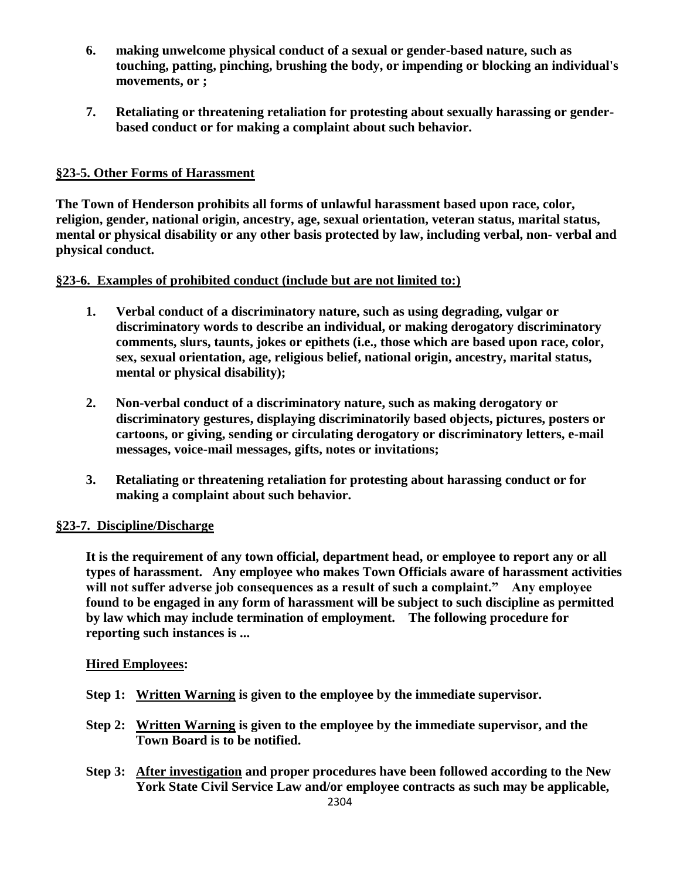- **6. making unwelcome physical conduct of a sexual or gender-based nature, such as touching, patting, pinching, brushing the body, or impending or blocking an individual's movements, or ;**
- **7. Retaliating or threatening retaliation for protesting about sexually harassing or genderbased conduct or for making a complaint about such behavior.**

## **§23-5. Other Forms of Harassment**

**The Town of Henderson prohibits all forms of unlawful harassment based upon race, color, religion, gender, national origin, ancestry, age, sexual orientation, veteran status, marital status, mental or physical disability or any other basis protected by law, including verbal, non- verbal and physical conduct.**

## **§23-6. Examples of prohibited conduct (include but are not limited to:)**

- **1. Verbal conduct of a discriminatory nature, such as using degrading, vulgar or discriminatory words to describe an individual, or making derogatory discriminatory comments, slurs, taunts, jokes or epithets (i.e., those which are based upon race, color, sex, sexual orientation, age, religious belief, national origin, ancestry, marital status, mental or physical disability);**
- **2. Non-verbal conduct of a discriminatory nature, such as making derogatory or discriminatory gestures, displaying discriminatorily based objects, pictures, posters or cartoons, or giving, sending or circulating derogatory or discriminatory letters, e-mail messages, voice-mail messages, gifts, notes or invitations;**
- **3. Retaliating or threatening retaliation for protesting about harassing conduct or for making a complaint about such behavior.**

### **§23-7. Discipline/Discharge**

**It is the requirement of any town official, department head, or employee to report any or all types of harassment. Any employee who makes Town Officials aware of harassment activities will not suffer adverse job consequences as a result of such a complaint." Any employee found to be engaged in any form of harassment will be subject to such discipline as permitted by law which may include termination of employment. The following procedure for reporting such instances is ...**

### **Hired Employees:**

- **Step 1: Written Warning is given to the employee by the immediate supervisor.**
- **Step 2: Written Warning is given to the employee by the immediate supervisor, and the Town Board is to be notified.**
- **Step 3: After investigation and proper procedures have been followed according to the New York State Civil Service Law and/or employee contracts as such may be applicable,**